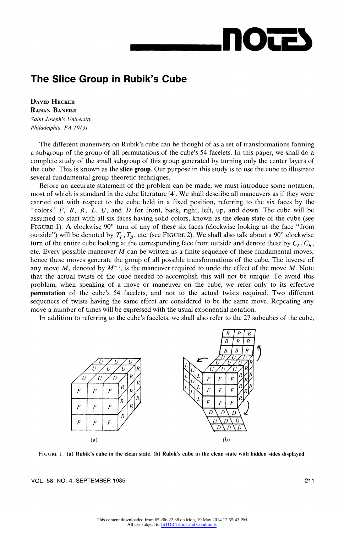# **Our**

## The Slice Group in Rubik's Cube

DAVID HECKER RANAN BANERJI Sainit Joseph 's Universitv Philadelphia, PA 19131

The different maneuvers on Rubik's cube can be thought of as a set of transformations forming a subgroup of the group of all permutations of the cube's 54 facelets. In this paper, we shall do a complete study of the small subgroup of this group generated by turning only the center layers of the cube. This is known as the **slice group**. Our purpose in this study is to use the cube to illustrate several fundamental group theoretic techniques.

Before an accurate statement of the problem can be made, we must introduce some notation, most of which is standard in the cube literature [4]. We shall describe all maneuvers as if they were carried out with respect to the cube held in a fixed position, referring to the six faces by the "colors"  $F$ ,  $B$ ,  $R$ ,  $L$ ,  $U$ , and  $D$  for front, back, right, left, up, and down. The cube will be assumed to start with all six faces having solid colors, known as the clean state of the cube (see FIGURE 1). A clockwise  $90^{\circ}$  turn of any of these six faces (clockwise looking at the face "from outside") will be denoted by  $T_F$ ,  $T_B$ , etc. (see FIGURE 2). We shall also talk about a 90° clockwise turn of the entire cube looking at the corresponding face from outside and denote these by  $C_F$ ,  $C_R$ , etc. Every possible maneuver  $M$  can be written as a finite sequence of these fundamental moves, hence these moves generate the group of all possible transformations of the cube. The inverse of any move M, denoted by  $M^{-1}$ , is the maneuver required to undo the effect of the move M. Note that the actual twists of the cube needed to accomplish this will not be unique. To avoid this problem, when speaking of a move or maneuver on the cube, we refer only to its effective permutation of the cube's 54 facelets, and not to the actual twists required. Two different sequences of twists having the same effect are considered to be the same move. Repeating any move a number of times will be expressed with the usual exponential notation.

In addition to referring to the cube's facelets, we shall also refer to the 27 subcubes of the cube,



FIGURE 1. (a) Rubik's cube in the clean state. (b) Rubik's cube in the clean state with hidden sides displayed.

VOL. 58, NO. 4, SEPTEMBER 1985 211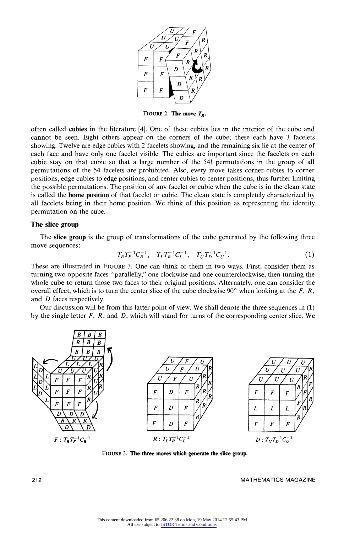

FIGURE 2. The move  $T_R$ .

often called cubies in the literature [4]. One of these cubies lies in the interior of the cube and cannot be seen. Eight others appear on the corners of the cube; these each have 3 facelets showing. Twelve are edge cubies with 2 facelets showing, and the remaining six lie at the center of each face and have only one facelet visible. The cubies are important since the facelets on each cubie stay on that cubie so that a large number of the 54! permutations in the group of all permutations of the 54 facelets are prohibited. Also, every move takes corner cubies to corner positions, edge cubies to edge positions, and center cubies to center positions, thus further limiting the possible permutations. The position of any facelet or cubie when the cube is in the clean state is called the home position of that facelet or cubie. The clean state is completely characterized by all facelets being in their home position. We think of this position as representing the identity permutation on the cube.

### The slice group

The slice group is the group of transformations of the cube generated by the following three move sequences:

$$
T_B T_F^{-1} C_B^{-1}, \quad T_L T_R^{-1} C_L^{-1}, \quad T_U T_D^{-1} C_U^{-1}.
$$
 (1)

These are illustrated in FIGURE 3. One can think of them in two ways. First, consider them as turning two opposite faces "parallelly," one clockwise and one counterclockwise, then turning the whole cube to return those two faces to their original positions. Alternately, one can consider the overall effect, which is to turn the center slice of the cube clockwise  $90^{\circ}$  when looking at the F, R, and D faces respectively.

Our discussion will be from this latter point of view. We shall denote the three sequences in (1) by the single letter  $F$ ,  $R$ , and  $D$ , which will stand for turns of the corresponding center slice. We



FIGURE 3. The three moves which generate the slice group.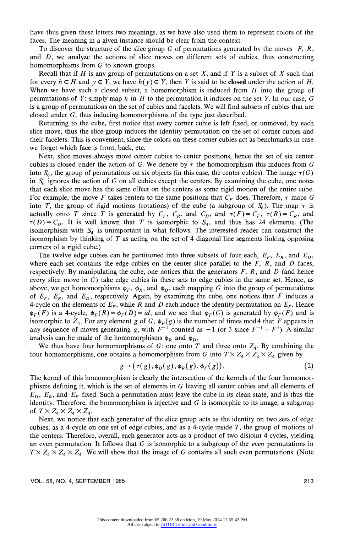have thus given these letters two meanings, as we have also used them to represent colors of the faces. The meaning in a given instance should be clear from the context.

To discover the structure of the slice group G of permutations generated by the moves  $F, R$ , and D, we analyze the actions of slice moves on different sets of cubies, thus constructing homomorphisms from G to known groups.

Recall that if H is any group of permutations on a set  $X$ , and if Y is a subset of X such that for every  $h \in H$  and  $y \in Y$ , we have  $h(y) \in Y$ , then Y is said to be closed under the action of H. When we have such a closed subset, a homomorphism is induced from  $H$  into the group of permutations of Y: simply map h in H to the permutation it induces on the set Y. In our case,  $G$ is a group of permutations on the set of cubies and facelets. We will find subsets of cubies that are closed under  $G$ , thus inducing homomorphisms of the type just described.

Returning to the cube, first notice that every corner cubie is left fixed, or unmoved, by each slice move, thus the slice group induces the identity permutation on the set of corner cubies and their facelets. This is convenient, since the colors on these corner cubies act as benchmarks in case we forget which face is front, back, etc.

Next, slice moves always move center cubies to center positions, hence the set of six center cubies is closed under the action of G. We denote by  $\tau$  the homomorphism this induces from G into  $S_6$ , the group of permutations on six objects (in this case, the center cubies). The image  $\tau(G)$ in  $S<sub>6</sub>$  ignores the action of G on all cubies except the centers. By examining the cube, one notes that each slice move has the same effect on the centers as some rigid motion of the entire cube. For example, the move F takes centers to the same positions that  $C_F$  does. Therefore,  $\tau$  maps G into T, the group of rigid motions (rotations) of the cube (a subgroup of  $S_6$ ). The map  $\tau$  is actually onto T since T is generated by  $C_F$ ,  $C_R$ , and  $C_D$ , and  $\tau(F) = C_F$ ,  $\tau(R) = C_R$ , and  $\tau(D) = C_D$ . It is well known that T is isomorphic to  $S_4$ , and thus has 24 elements. (The isomorphism with  $S_4$  is unimportant in what follows. The interested reader can construct the isomorphism by thinking of  $T$  as acting on the set of 4 diagonal line segments linking opposing corners of a rigid cube.)

The twelve edge cubies can be partitioned into three subsets of four each,  $E_F$ ,  $E_R$ , and  $E_D$ , where each set contains the edge cubies on the center slice parallel to the  $F$ ,  $R$ , and  $D$  faces, respectively. By manipulating the cube, one notices that the generators  $F$ ,  $R$ , and  $D$  (and hence every slice move in  $G$ ) take edge cubies in these sets to edge cubies in the same set. Hence, as above, we get homomorphisms  $\phi_F$ ,  $\phi_R$ , and  $\phi_D$ , each mapping G into the group of permutations of  $E_F$ ,  $E_R$ , and  $E_D$ , respectively. Again, by examining the cube, one notices that F induces a 4-cycle on the elements of  $E_F$ , while R and D each induce the identity permutation on  $E_F$ . Hence  $\phi_F(F)$  is a 4-cycle,  $\phi_F(R) = \phi_F(D) = id$ , and we see that  $\phi_F(G)$  is generated by  $\phi_F(F)$  and is isomorphic to  $Z_4$ . For any element g of G,  $\phi_F(g)$  is the number of times mod 4 that F appears in any sequence of moves generating g, with  $F^{-1}$  counted as  $-1$  (or 3 since  $F^{-1} = F^3$ ). A similar analysis can be made of the homomorphisms  $\phi_R$  and  $\phi_D$ .

We thus have four homomorphisms of G: one onto T and three onto  $Z_4$ . By combining the four homomorphisms, one obtains a homomorphism from G into  $T \times Z_4 \times Z_4$  given by

$$
g \rightarrow (\tau(g), \phi_D(g), \phi_R(g), \phi_F(g)). \tag{2}
$$

The kernel of this homomorphism is clearly the intersection of the kernels of the four homomorphisms defining it, which is the set of elements in  $G$  leaving all center cubies and all elements of  $E_D$ ,  $E_R$ , and  $E_F$  fixed. Such a permutation must leave the cube in its clean state, and is thus the identity. Therefore, the homomorphism is injective and  $G$  is isomorphic to its image, a subgroup of  $T \times Z_4 \times Z_4 \times Z_4$ .

Next, we notice that each generator of the slice group acts as the identity on two sets of edge cubies, as a 4-cycle on one set of edge cubies, and as a 4-cycle inside  $T$ , the group of motions of the centers. Therefore, overall, each generator acts as a product of two disjoint 4-cycles, yielding an even permutation. It follows that  $G$  is isomorphic to a subgroup of the *even* permutations in  $T \times Z_4 \times Z_4 \times Z_4$ . We will show that the image of G contains all such even permutations. (Note

VOL. 58, NO. 4, SEPTEMBER 1985 213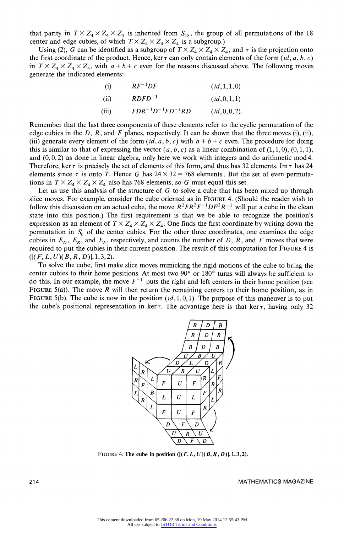that parity in  $T \times Z_4 \times Z_4 \times Z_4$  is inherited from  $S_{18}$ , the group of all permutations of the 18 center and edge cubies, of which  $T \times Z_4 \times Z_4 \times Z_4$  is a subgroup.)

Using (2), G can be identified as a subgroup of  $T \times Z_4 \times Z_4 \times Z_4$ , and  $\tau$  is the projection onto the first coordinate of the product. Hence, ker  $\tau$  can only contain elements of the form (id, a, b, c) in  $T \times Z_4 \times Z_4 \times Z_4$ , with  $a + b + c$  even for the reasons discussed above. The following moves generate the indicated elements:

| (i)   | $RF^{-1}DF$               | (id, 1, 1, 0)  |
|-------|---------------------------|----------------|
| (ii)  | $RDFD^{-1}$               | (id, 0, 1, 1)  |
| (iii) | $FDR^{-1}D^{-1}FD^{-1}RD$ | (id, 0, 0, 2). |

Remember that the last three components of these elements refer to the cyclic permutation of the edge cubies in the D, R, and F planes, respectively. It can be shown that the three moves (i), (ii), (iii) generate every element of the form  $(id, a, b, c)$  with  $a + b + c$  even. The procedure for doing this is similar to that of expressing the vector  $(a, b, c)$  as a linear combination of  $(1, 1, 0)$ ,  $(0, 1, 1)$ , and  $(0, 0, 2)$  as done in linear algebra, only here we work with integers and do arithmetic mod 4. Therefore, ker  $\tau$  is precisely the set of elements of this form, and thus has 32 elements. Im  $\tau$  has 24 elements since  $\tau$  is onto T. Hence G has  $24 \times 32 = 768$  elements.. But the set of even permutations in  $T \times Z_4 \times Z_4 \times Z_4$  also has 768 elements, so G must equal this set.

Let us use this analysis of the structure of  $G$  to solve a cube that has been mixed up through slice moves. For example, consider the cube oriented as in FIGURE 4. (Should the reader wish to follow this discussion on an actual cube, the move  $R^2FR^2F^{-1}DF^2R^{-1}$  will put a cube in the clean state into this position.) The first requirement is that we be able to recognize the position's expression as an element of  $T \times Z_4 \times Z_4 \times Z_4$ . One finds the first coordinate by writing down the permutation in  $S<sub>6</sub>$  of the center cubies. For the other three coordinates, one examines the edge cubies in  $E_D$ ,  $E_R$ , and  $E_F$ , respectively, and counts the number of D, R, and F moves that were required to put the cubies in their current position. The result of this computation for FIGURE 4 is  $([ (F, L, U) (B, R, D)], 1, 3, 2).$ 

To solve the cube, first make slice moves mimicking the rigid motions of the cube to bring the center cubies to their home positions. At most two  $90^{\circ}$  or  $180^{\circ}$  turns will always be sufficient to do this. In our example, the move  $F^{-1}$  puts the right and left centers in their home position (see FIGURE 5(a)). The move  $R$  will then return the remaining centers to their home position, as in FIGURE 5(b). The cube is now in the position  $(id, 1, 0, 1)$ . The purpose of this maneuver is to put the cube's positional representation in ker  $\tau$ . The advantage here is that ker  $\tau$ , having only 32



FIGURE 4. The cube in position  $([ (F, L, U) (B, R, D) ], 1, 3, 2)$ .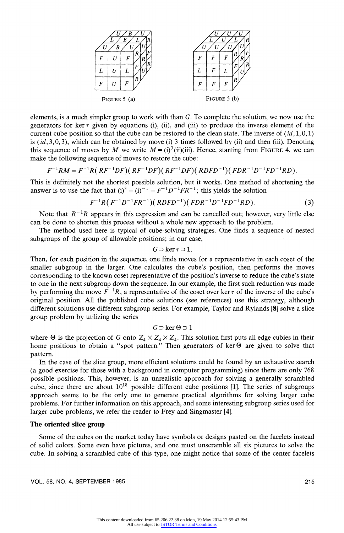

elements, is a much simpler group to work with than G. To complete the solution, we now use the generators for ker  $\tau$  given by equations (i), (ii), and (iii) to produce the inverse element of the current cube position so that the cube can be restored to the clean state. The inverse of  $(id, 1, 0, 1)$ is  $(id, 3, 0, 3)$ , which can be obtained by move (i) 3 times followed by (ii) and then (iii). Denoting this sequence of moves by M we write  $M = (i)^3 (ii)(iii)$ . Hence, starting from FIGURE 4, we can make the following sequence of moves to restore the cube:

$$
F^{-1}RM = F^{-1}R(RF^{-1}DF)(RF^{-1}DF)(RF^{-1}DF)(RDFD^{-1})(FDR^{-1}D^{-1}FD^{-1}RD)
$$

This is definitely not the shortest possible solution, but it works. One method of shortening the answer is to use the fact that  $(i)^3 = (i)^{-1} = F^{-1}D^{-1}FR^{-1}$ ; this yields the solution

$$
F^{-1}R(F^{-1}D^{-1}FR^{-1})(RDFD^{-1})(FDR^{-1}D^{-1}FD^{-1}RD).
$$
\n(3)

Note that  $R^{-1}R$  appears in this expression and can be cancelled out; however, very little else can be done to shorten this process without a whole new approach to the problem.

The method used here is typical of cube-solving strategies. One finds a sequence of nested subgroups of the group of allowable positions; in our case,

 $G \supset \ker \tau \supset 1$ .

Then, for each position in the sequence, one finds moves for a representative in each coset of the smaller subgroup in the larger. One calculates the cube's position, then performs the moves corresponding to the known coset representative of the position's inverse to reduce the cube's state to one in the next subgroup down the sequence. In our example, the first such reduction was made by performing the move  $F^{-1}R$ , a representative of the coset over ker  $\tau$  of the inverse of the cube's original position. All the published cube solutions (see references) use this strategy, although different solutions use different subgroup series. For example, Taylor and Rylands [8] solve a slice group problem by utilizing the series

$$
G \supset \ker \Theta \supset 1
$$

where  $\Theta$  is the projection of G onto  $Z_4 \times Z_4 \times Z_4$ . This solution first puts all edge cubies in their home positions to obtain a "spot pattern." Then generators of ker $\Theta$  are given to solve that pattern.

In the case of the slice group, more efficient solutions could be found by an exhaustive search (a good exercise for those with a background in computer programming) since there are only 768 possible positions. This, however, is an unrealistic approach for solving a generally scrambled cube, since there are about  $10^{18}$  possible different cube positions [1]. The series of subgroups approach seems to be the only one to generate practical algorithms for solving larger cube problems. For further information on this approach, and some interesting subgroup series used for larger cube problems, we refer the reader to Frey and Singmaster [4].

### The oriented slice group

Some of the cubes on the market today have symbols or designs pasted on the facelets instead of solid colors. Some even have pictures, and one must unscramble all six pictures to solve the cube. In solving a scrambled cube of this type, one might notice that some of the center facelets

VOL. 58, NO, 4, SEPTEMBER 1985 215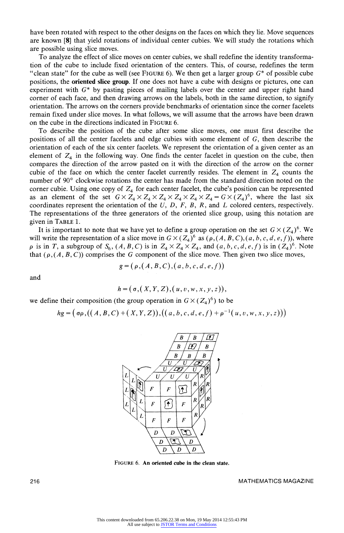have been rotated with respect to the other designs on the faces on which they lie. Move sequences are known [8] that yield rotations of individual center cubies. We will study the rotations which are possible using slice moves.

To analyze the effect of slice moves on center cubies, we shall redefine the identity transformation of the cube to include fixed orientation of the centers. This, of course, redefines the term "clean state" for the cube as well (see FIGURE 6). We then get a larger group  $G^*$  of possible cube positions, the oriented slice group. If one does not have a cube with designs or pictures, one can experiment with  $G^*$  by pasting pieces of mailing labels over the center and upper right hand corner of each face, and then drawing arrows on the labels, both in the same direction, to signify orientation. The arrows on the corners provide benchmarks of orientation since the corner facelets remain fixed under slice moves. In what follows, we will assume that the arrows have been drawn on the cube in the directions indicated in FIGURE 6.

To describe the position of the cube after some slice moves, one must first describe the positions of all the center facelets and edge cubies with some element of  $G$ , then describe the orientation of each of the six center facelets. We represent the orientation of a given center as an element of  $Z_4$  in the following way. One finds the center facelet in question on the cube, then compares the direction of the arrow pasted on it with the direction of the arrow on the corner cubie of the face on which the center facelet currently resides. The element in  $Z_4$  counts the number of 90° clockwise rotations the center has made from the standard direction noted on the corner cubie. Using one copy of  $Z_4$  for each center facelet, the cube's position can be represented as an element of the set  $G \times Z_4 \times Z_4 \times Z_4 \times Z_4 \times Z_4 \times Z_4 = G \times (Z_4)^6$ , where the last six coordinates represent the orientation of the  $U$ ,  $D$ ,  $F$ ,  $B$ ,  $R$ , and  $L$  colored centers, respectively. The representations of the three generators of the oriented slice group, using this notation are given in TABLE 1.

It is important to note that we have yet to define a group operation on the set  $G \times (Z_4)^6$ . We will write the representation of a slice move in  $G \times (Z_4)^6$  as  $(\rho, (A, B, C), (a, b, c, d, e, f))$ , where  $\rho$  is in T, a subgroup of  $S_6$ ,  $(A, B, C)$  is in  $Z_4 \times Z_4 \times Z_4$ , and  $(a, b, c, d, e, f)$  is in  $(Z_4)^6$ . Note that ( $\rho$ , (A, B, C)) comprises the G component of the slice move. Then given two slice moves,

$$
g = (p,(A,B,C),(a,b,c,d,e,f))
$$

and

$$
h = (\sigma, (X, Y, Z), (u, v, w, x, y, z)),
$$

we define their composition (the group operation in  $G \times (Z_4)^6$ ) to be

$$
hg = ( \sigma \rho, ((A, B, C) + (X, Y, Z)), ((a, b, c, d, e, f) + \rho^{-1}(u, v, w, x, y, z)))
$$



FIGURE 6. An oriented cube in the clean state.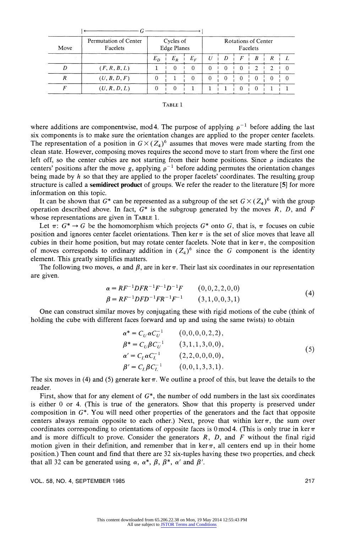| Move | Permutation of Center<br>Facelets | Cycles of<br><b>Edge Planes</b> |       |          | Rotations of Center<br>Facelets |          |          |          |          |  |
|------|-----------------------------------|---------------------------------|-------|----------|---------------------------------|----------|----------|----------|----------|--|
|      |                                   | $E_D$                           | $E_R$ | $E_F$    |                                 | D        |          | B        |          |  |
|      | (F, R, B, L)                      |                                 |       | $\theta$ | $\Omega$                        | 0        |          | 2        | 2        |  |
|      | (U, B, D, F)                      |                                 |       | $\Omega$ | $\Omega$                        | $\Omega$ | $\Omega$ | $\Omega$ | $\Omega$ |  |
|      | (U, R, D, L)                      |                                 |       |          |                                 |          |          |          |          |  |

where additions are componentwise, mod 4. The purpose of applying  $\rho^{-1}$  before adding the last six components is to make sure the orientation changes are applied to the proper center facelets. The representation of a position in  $G \times (Z_4)^6$  assumes that moves were made starting from the clean state. However, composing moves requires the second move to start from where the first one left off, so the center cubies are not starting from their home positions. Since  $\rho$  indicates the centers' positions after the move g, applying  $\rho^{-1}$  before adding permutes the orientation changes being made by  $h$  so that they are applied to the proper facelets' coordinates. The resulting group structure is called a semidirect product of groups. We refer the reader to the literature [5] for more information on this topic.

It can be shown that  $G^*$  can be represented as a subgroup of the set  $G \times (Z_4)^6$  with the group operation described above. In fact,  $G^*$  is the subgroup generated by the moves R, D, and F whose representations are given in TABLE 1.

Let  $\pi: G^* \to G$  be the homomorphism which projects  $G^*$  onto G, that is,  $\pi$  focuses on cubie position and ignores center facelet orientations. Then ker  $\pi$  is the set of slice moves that leave all cubies in their home position, but may rotate center facelets. Note that in ker  $\pi$ , the composition of moves corresponds to ordinary addition in  $(Z_4)^6$  since the G component is the identity element. This greatly simplifies matters.

The following two moves,  $\alpha$  and  $\beta$ , are in ker  $\pi$ . Their last six coordinates in our representation are given.

$$
\alpha = RF^{-1}DFR^{-1}F^{-1}D^{-1}F
$$
 (0,0,2,2,0,0)  
\n
$$
\beta = RF^{-1}DFD^{-1}FR^{-1}F^{-1}
$$
 (3,1,0,0,3,1) (4)

One can construct similar moves by conjugating these with rigid motions of the cube (think of holding the cube with different faces forward and up and using the same twists) to obtain

$$
\alpha^* = C_U \alpha C_U^{-1} \qquad (0,0,0,0,2,2),\n\beta^* = C_U \beta C_U^{-1} \qquad (3,1,1,3,0,0),\n\alpha' = C_L \alpha C_L^{-1} \qquad (2,2,0,0,0,0),\n\beta' = C_L \beta C_L^{-1} \qquad (0,0,1,3,3,1).
$$
\n(5)

The six moves in (4) and (5) generate ker  $\pi$ . We outline a proof of this, but leave the details to the reader.

First, show that for any element of  $G^*$ , the number of odd numbers in the last six coordinates is either 0 or 4. (This is true of the generators. Show that this property is preserved under composition in  $G^*$ . You will need other properties of the generators and the fact that opposite centers always remain opposite to each other.) Next, prove that within ker  $\pi$ , the sum over coordinates corresponding to orientations of opposite faces is 0 mod 4. (This is only true in ker  $\pi$ and is more difficult to prove. Consider the generators  $R$ ,  $D$ , and  $F$  without the final rigid motion given in their definition, and remember that in ker  $\pi$ , all centers end up in their home position.) Then count and find that there are 32 six-tuples having these two properties, and check that all 32 can be generated using  $\alpha$ ,  $\alpha^*$ ,  $\beta$ ,  $\beta^*$ ,  $\alpha'$  and  $\beta'$ .

VOL. 58, NO. 4, SEPTEMBER 1985 217